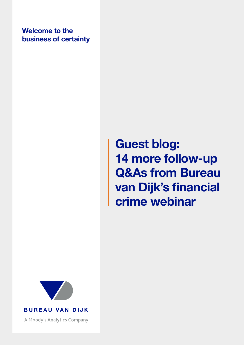Welcome to the business of certainty

# Guest blog: 14 more follow-up Q&As from Bureau van Dijk's financial crime webinar



**BUREAU VAN DIJK** 

A Moody's Analytics Company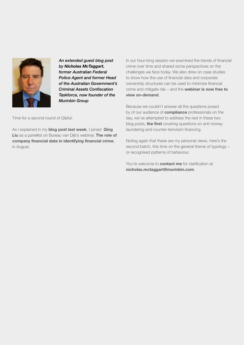

*An extended guest blog post by Nicholas McTaggart, former Australian Federal Police Agent and former Head of the Australian Government's Criminal Assets Confiscation Taskforce, now founder of the Murinbin Group* 

Time for a second round of Q&As!

As I explained in my [blog post last week](https://www.bvdinfo.com/en-gb/blog/compliance-and-financial-crime/guest-blog-16-follow-up-qandas-from-bureau-van-dijks-financial-crime-webinar), I joined Qing [Liu](https://www.linkedin.com/in/missqingliu/) as a panellist on Bureau van Dijk's webinar, The role of [company financial data in identifying financial crime](https://event.onlineseminarsolutions.com/eventRegistration/EventLobbyServlet?target=registration.jsp&referrer=&eventid=1438225&sessionid=1&key=E73121C1B53C6BB1D0EA4B00753B2F3C®Tag=&sourcepage=register), in August.

In our hour-long session we examined the trends of financial crime over time and shared some perspectives on the challenges we face today. We also drew on case studies to show how the use of financial data and corporate ownership structures can be used to minimize financial crime and mitigate risk – and the [webinar is now free to](https://event.onlineseminarsolutions.com/eventRegistration/EventLobbyServlet?target=registration.jsp&referrer=&eventid=1438225&sessionid=1&key=E73121C1B53C6BB1D0EA4B00753B2F3C®Tag=&sourcepage=register)  [view on-demand](https://event.onlineseminarsolutions.com/eventRegistration/EventLobbyServlet?target=registration.jsp&referrer=&eventid=1438225&sessionid=1&key=E73121C1B53C6BB1D0EA4B00753B2F3C®Tag=&sourcepage=register).

Because we couldn't answer all the questions posed by of our audience of **compliance** professionals on the day, we've attempted to address the rest in these two blog posts, **[the first](https://www.bvdinfo.com/en-gb/blog/compliance-and-financial-crime/guest-blog-16-follow-up-qandas-from-bureau-van-dijks-financial-crime-webinar)** covering questions on anti-money laundering and counter-terrorism financing.

Noting again that these are my personal views, here's the second batch, this time on the general theme of typology – or recognised patterns of behaviour.

You're welcome to **[contact me](mailto:nicholas.mctaggart%40murinbin.com?subject=)** for clarification at [nicholas.mctaggart@murinbin.com](mailto:nicholas.mctaggart%40murinbin.com?subject=).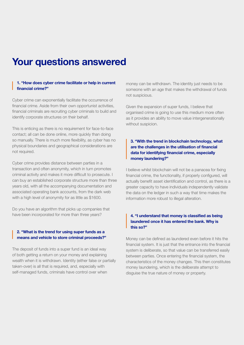### Your questions answered

#### 1. "How does cyber crime facilitate or help in current financial crime?"

Cyber crime can exponentially facilitate the occurrence of financial crime. Aside from their own opportunist activities, financial criminals are recruiting cyber criminals to build and identify corporate structures on their behalf.

This is enticing as there is no requirement for face-to-face contact; all can be done online, more quickly than doing so manually. There is much more flexibility, as cyber has no physical boundaries and geographical considerations are not required.

Cyber crime provides distance between parties in a transaction and often anonymity, which in turn promotes criminal activity and makes it more difficult to prosecute. I can buy an established corporate structure more than three years old, with all the accompanying documentation and associated operating bank accounts, from the dark web with a high level of anonymity for as little as \$1600.

Do you have an algorithm that picks up companies that have been incorporated for more than three years?

#### 2. "What is the trend for using super funds as a means and vehicle to store criminal proceeds?"

The deposit of funds into a super fund is an ideal way of both getting a return on your money and explaining wealth when it is withdrawn. Identity (either false or partially taken-over) is all that is required, and, especially with self-managed funds, criminals have control over when

money can be withdrawn. The identity just needs to be someone with an age that makes the withdrawal of funds not suspicious.

Given the expansion of super funds, I believe that organised crime is going to use this medium more often as it provides an ability to move value intergenerationally without suspicion.

#### 3. "With the trend in blockchain technology, what are the challenges in the utilisation of financial data for identifying financial crime, especially money laundering?"

I believe whilst blockchain will not be a panacea for fixing financial crime, the functionality, if properly configured, will actually benefit asset identification and control, as there is a greater capacity to have individuals independently validate the data on the ledger in such a way that time makes the information more robust to illegal alteration.

#### 4. "I understand that money is classified as being laundered once it has entered the bank. Why is this so?"

Money can be defined as laundered even before it hits the financial system. It is just that the entrance into the financial system is deliberate, so that value can be transferred easily between parties. Once entering the financial system, the characteristics of the money changes. This then constitutes money laundering, which is the deliberate attempt to disguise the true nature of money or property.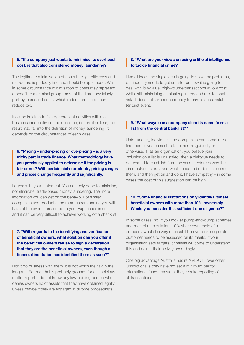#### 5. "If a company just wants to minimise its overhead cost, is that also considered money laundering?"

The legitimate minimisation of costs through efficiency and restructure is perfectly fine and should be applauded. Whilst in some circumstance minimisation of costs may represent a benefit to a criminal group, most of the time they falsely portray increased costs, which reduce profit and thus reduce tax.

If action is taken to falsely represent activities within a business irrespective of the outcome, i.e. profit or loss, the result may fall into the definition of money laundering. It depends on the circumstances of each case.

6. "Pricing – under-pricing or overpricing – is a very tricky part in trade finance. What methodology have you previously applied to determine if the pricing is fair or not? With certain niche products, pricing ranges and prices change frequently and significantly."

I agree with your statement. You can only hope to minimise, not eliminate, trade-based money laundering. The more information you can get on the behaviour of similar companies and products, the more understanding you will have of the events presented to you. Experience is critical and it can be very difficult to achieve working off a checklist.

7. "With regards to the identifying and verification of beneficial owners, what solution can you offer if the beneficial owners refuse to sign a declaration that they are the beneficial owners, even though a financial institution has identified them as such?"

Don't do business with them! It is not worth the risk in the long run. For me, that is probably grounds for a suspicious matter report. I do not know any law-abiding person who denies ownership of assets that they have obtained legally unless maybe if they are engaged in divorce proceedings…

#### 8. "What are your views on using artificial intelligence to tackle financial crime?"

Like all ideas, no single idea is going to solve the problems, but industry needs to get smarter on how it is going to deal with low-value, high-volume transactions at low cost, whilst still minimising criminal regulatory and reputational risk. It does not take much money to have a successful terrorist event.

#### 9. "What ways can a company clear its name from a list from the central bank list?"

Unfortunately, individuals and companies can sometimes find themselves on such lists, either misguidedly or otherwise. If, as an organisation, you believe your inclusion on a list is unjustified, then a dialogue needs to be created to establish from the various referees why the circumstances exist and what needs to be done to correct them, and then get on and do it. I have sympathy – in some cases the cost of this suggestion can be high.

#### 10. "Some financial institutions only identify ultimate beneficial owners with more than 10% ownership. Would you consider this sufficient due diligence?"

In some cases, no. If you look at pump-and-dump schemes and market manipulation, 10% share ownership of a company would be very unusual. I believe each corporate customer needs to be assessed on its merits. If your organisation sets targets, criminals will come to understand this and adjust their activity accordingly.

One big advantage Australia has re AML/CTF over other jurisdictions is they have not set a minimum bar for international funds transfers; they require reporting of all transactions.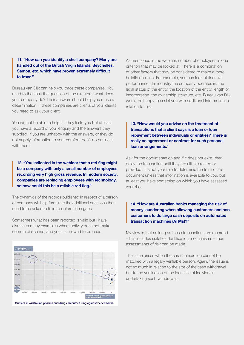11. "How can you identify a shell company? Many are handled out of the British Virgin Islands, Seychelles, Samoa, etc, which have proven extremely difficult to trace."

Bureau van Dijk can help you trace these companies. You need to then ask the question of the directors: what does your company do? Their answers should help you make a determination. If these companies are clients of your clients, you need to ask your client.

You will not be able to help it if they lie to you but at least you have a record of your enquiry and the answers they supplied. If you are unhappy with the answers, or they do not supply information to your comfort, don't do business with them!

12. "You indicated in the webinar that a red flag might be a company with only a small number of employees recording very high gross revenue. In modern society, companies are replacing employees with technology, so how could this be a reliable red flag."

The dynamics of the records published in respect of a person or company will help formulate the additional questions that need to be asked to fill in the information gaps.

Sometimes what has been reported is valid but I have also seen many examples where activity does not make commercial sense, and yet it is allowed to proceed.

As mentioned in the webinar, number of employees is one criterion that may be looked at. There is a combination of other factors that may be considered to make a more holistic decision. For example, you can look at financial performance, the industry the company operates in, the legal status of the entity, the location of the entity, length of incorporation, the ownership structure, etc. Bureau van Dijk would be happy to assist you with additional information in relation to this.

13. "How would you advise on the treatment of transactions that a client says is a loan or loan repayment between individuals or entities? There is really no agreement or contract for such personal loan arrangements."

Ask for the documentation and if it does not exist, then delay the transaction until they are either created or provided. It is not your role to determine the truth of the document unless that information is available to you, but at least you have something on which you have assessed your risk.

#### 14. "How are Australian banks managing the risk of money laundering when allowing customers and noncustomers to do large cash deposits on automated transaction machines (ATMs)?"

My view is that as long as these transactions are recorded – this includes suitable identification mechanisms – then assessments of risk can be made.

The issue arises when the cash transaction cannot be matched with a legally verifiable person. Again, the issue is not so much in relation to the size of the cash withdrawal but to the verification of the identities of individuals undertaking such withdrawals.



Outliers in Australian pharma and drugs manufacturing against benchmarks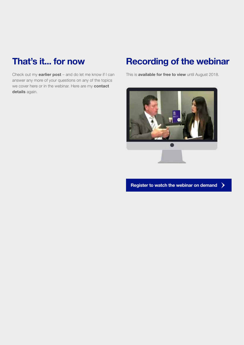## That's it... for now

Check out my [earlier post](https://www.bvdinfo.com/en-gb/blog/compliance-and-financial-crime/guest-blog-16-follow-up-qandas-from-bureau-van-dijks-financial-crime-webinar) – and do let me know if I can answer any more of your questions on any of the topics we cover here or in the webinar. Here are my contact [details](mailto:nicholas.mctaggart%40murinbin.com?subject=) again.

### Recording of the webinar

This is **[available for free to view](https://event.onlineseminarsolutions.com/eventRegistration/EventLobbyServlet?target=registration.jsp&referrer=&eventid=1438225&sessionid=1&key=E73121C1B53C6BB1D0EA4B00753B2F3C®Tag=&sourcepage=register)** until August 2018.



[Register to watch the webinar on demand](https://event.onlineseminarsolutions.com/eventRegistration/EventLobbyServlet?target=registration.jsp&referrer=&eventid=1438225&sessionid=1&key=E73121C1B53C6BB1D0EA4B00753B2F3C®Tag=&sourcepage=register)ゝ